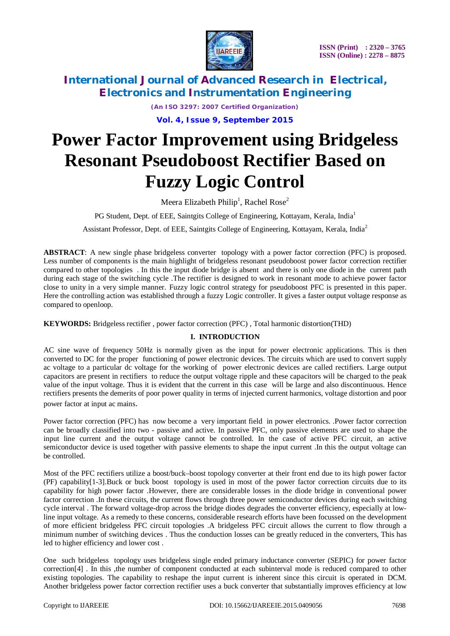

*(An ISO 3297: 2007 Certified Organization)* **Vol. 4, Issue 9, September 2015**

# **Power Factor Improvement using Bridgeless Resonant Pseudoboost Rectifier Based on Fuzzy Logic Control**

Meera Elizabeth Philip<sup>1</sup>, Rachel Rose<sup>2</sup>

PG Student, Dept. of EEE, Saintgits College of Engineering, Kottayam, Kerala, India<sup>1</sup>

Assistant Professor, Dept. of EEE, Saintgits College of Engineering, Kottayam, Kerala, India<sup>2</sup>

**ABSTRACT**: A new single phase bridgeless converter topology with a power factor correction (PFC) is proposed. Less number of components is the main highlight of bridgeless resonant pseudoboost power factor correction rectifier compared to other topologies . In this the input diode bridge is absent and there is only one diode in the current path during each stage of the switching cycle .The rectifier is designed to work in resonant mode to achieve power factor close to unity in a very simple manner. Fuzzy logic control strategy for pseudoboost PFC is presented in this paper. Here the controlling action was established through a fuzzy Logic controller. It gives a faster output voltage response as compared to openloop.

**KEYWORDS:** Bridgeless rectifier , power factor correction (PFC) , Total harmonic distortion(THD)

### **I. INTRODUCTION**

AC sine wave of frequency 50Hz is normally given as the input for power electronic applications. This is then converted to DC for the proper functioning of power electronic devices. The circuits which are used to convert supply ac voltage to a particular dc voltage for the working of power electronic devices are called rectifiers. Large output capacitors are present in rectifiers to reduce the output voltage ripple and these capacitors will be charged to the peak value of the input voltage. Thus it is evident that the current in this case will be large and also discontinuous. Hence rectifiers presents the demerits of poor power quality in terms of injected current harmonics, voltage distortion and poor power factor at input ac mains.

Power factor correction (PFC) has now become a very important field in power electronics. .Power factor correction can be broadly classified into two - passive and active. In passive PFC, only passive elements are used to shape the input line current and the output voltage cannot be controlled. In the case of active PFC circuit, an active semiconductor device is used together with passive elements to shape the input current .In this the output voltage can be controlled.

Most of the PFC rectifiers utilize a boost/buck–boost topology converter at their front end due to its high power factor (PF) capability[1-3].Buck or buck boost topology is used in most of the power factor correction circuits due to its capability for high power factor .However, there are considerable losses in the diode bridge in conventional power factor correction .In these circuits, the current flows through three power semiconductor devices during each switching cycle interval . The forward voltage-drop across the bridge diodes degrades the converter efficiency, especially at lowline input voltage. As a remedy to these concerns, considerable research efforts have been focussed on the development of more efficient bridgeless PFC circuit topologies .A bridgeless PFC circuit allows the current to flow through a minimum number of switching devices . Thus the conduction losses can be greatly reduced in the converters, This has led to higher efficiency and lower cost .

One such bridgeless topology uses bridgeless single ended primary inductance converter (SEPIC) for power factor correction<sup>[4]</sup>. In this ,the number of component conducted at each subinterval mode is reduced compared to other existing topologies. The capability to reshape the input current is inherent since this circuit is operated in DCM. Another bridgeless power factor correction rectifier uses a buck converter that substantially improves efficiency at low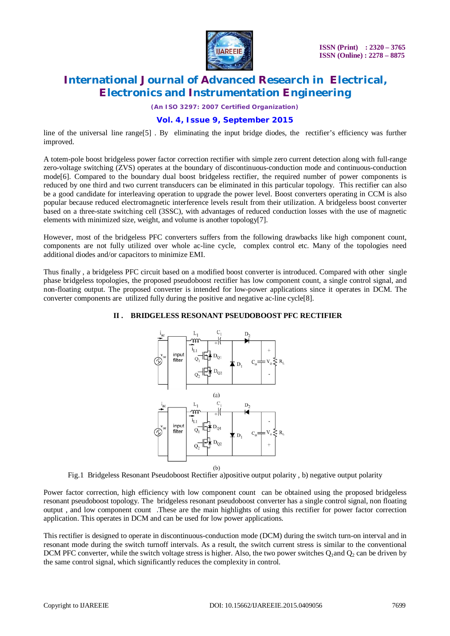

*(An ISO 3297: 2007 Certified Organization)*

### **Vol. 4, Issue 9, September 2015**

line of the universal line range[5] . By eliminating the input bridge diodes, the rectifier's efficiency was further improved.

A totem-pole boost bridgeless power factor correction rectifier with simple zero current detection along with full-range zero-voltage switching (ZVS) operates at the boundary of discontinuous-conduction mode and continuous-conduction mode<sup>[6]</sup>. Compared to the boundary dual boost bridgeless rectifier, the required number of power components is reduced by one third and two current transducers can be eliminated in this particular topology. This rectifier can also be a good candidate for interleaving operation to upgrade the power level. Boost converters operating in CCM is also popular because reduced electromagnetic interference levels result from their utilization. A bridgeless boost converter based on a three-state switching cell (3SSC), with advantages of reduced conduction losses with the use of magnetic elements with minimized size, weight, and volume is another topology[7].

However, most of the bridgeless PFC converters suffers from the following drawbacks like high component count, components are not fully utilized over whole ac-line cycle, complex control etc. Many of the topologies need additional diodes and/or capacitors to minimize EMI.

Thus finally , a bridgeless PFC circuit based on a modified boost converter is introduced. Compared with other single phase bridgeless topologies, the proposed pseudoboost rectifier has low component count, a single control signal, and non-floating output. The proposed converter is intended for low-power applications since it operates in DCM. The converter components are utilized fully during the positive and negative ac-line cycle[8].

#### **II . BRIDGELESS RESONANT PSEUDOBOOST PFC RECTIFIER**



 $(b)$ 

Fig.1 Bridgeless Resonant Pseudoboost Rectifier a)positive output polarity , b) negative output polarity

Power factor correction, high efficiency with low component count can be obtained using the proposed bridgeless resonant pseudoboost topology. The bridgeless resonant pseudoboost converter has a single control signal, non floating output , and low component count .These are the main highlights of using this rectifier for power factor correction application. This operates in DCM and can be used for low power applications.

This rectifier is designed to operate in discontinuous-conduction mode (DCM) during the switch turn-on interval and in resonant mode during the switch turnoff intervals. As a result, the switch current stress is similar to the conventional DCM PFC converter, while the switch voltage stress is higher. Also, the two power switches  $Q_1$  and  $Q_2$  can be driven by the same control signal, which significantly reduces the complexity in control.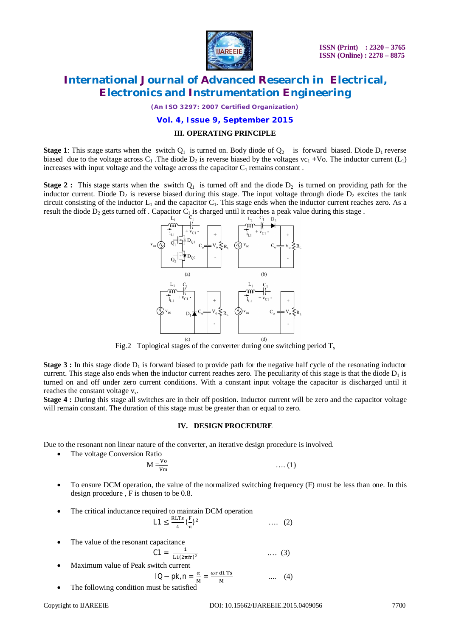

*(An ISO 3297: 2007 Certified Organization)*

#### **Vol. 4, Issue 9, September 2015**

#### **III. OPERATING PRINCIPLE**

**Stage 1**: This stage starts when the switch  $Q_1$  is turned on. Body diode of  $Q_2$  is forward biased. Diode  $D_1$  reverse biased due to the voltage across  $C_1$ . The diode  $D_2$  is reverse biased by the voltages vc<sub>1</sub> +Vo. The inductor current (L<sub>1</sub>) increases with input voltage and the voltage across the capacitor  $C_1$  remains constant.

**Stage 2 :** This stage starts when the switch  $Q_1$  is turned off and the diode  $D_2$  is turned on providing path for the inductor current. Diode  $D_2$  is reverse biased during this stage. The input voltage through diode  $D_2$  excites the tank circuit consisting of the inductor  $L_1$  and the capacitor  $C_1$ . This stage ends when the inductor current reaches zero. As a result the diode  $D_2$  gets turned off . Capacitor  $C_1$  is charged until it reaches a peak value during this stage .



Fig.2 Toplogical stages of the converter during one switching period  $T_s$ 

**Stage 3 :** In this stage diode  $D_1$  is forward biased to provide path for the negative half cycle of the resonating inductor current. This stage also ends when the inductor current reaches zero. The peculiarity of this stage is that the diode  $D_1$  is turned on and off under zero current conditions. With a constant input voltage the capacitor is discharged until it reaches the constant voltage  $v_x$ .

**Stage 4 :** During this stage all switches are in their off position. Inductor current will be zero and the capacitor voltage will remain constant. The duration of this stage must be greater than or equal to zero.

#### **IV. DESIGN PROCEDURE**

Due to the resonant non linear nature of the converter, an iterative design procedure is involved.

• The voltage Conversion Ratio

$$
M = \frac{V_0}{V_m} \qquad \qquad \dots (1)
$$

- To ensure DCM operation, the value of the normalized switching frequency (F) must be less than one. In this design procedure , F is chosen to be 0.8.
- The critical inductance required to maintain DCM operation

$$
L1 \le \frac{RLTs}{4} (\frac{F}{\pi})^2 \qquad \qquad \dots \quad (2)
$$

The value of the resonant capacitance

$$
C1 = \frac{1}{L1(2\pi f r)^2} \qquad \qquad \dots (3)
$$

Maximum value of Peak switch current

$$
IQ - pk, n = \frac{\alpha}{M} = \frac{\omega r \, d1 \, Ts}{M} \qquad \qquad \dots \qquad (4)
$$

The following condition must be satisfied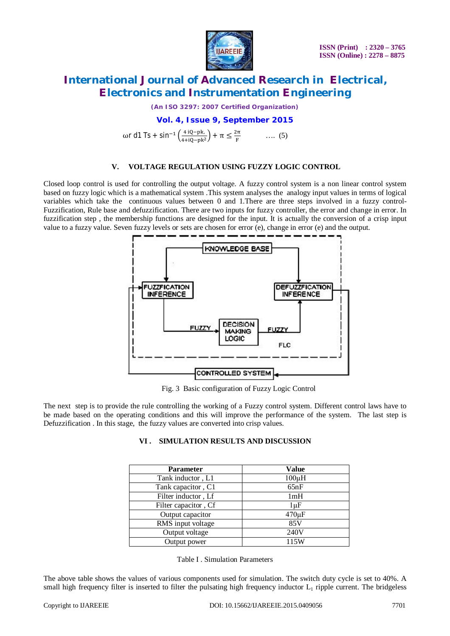

*(An ISO 3297: 2007 Certified Organization)*

### **Vol. 4, Issue 9, September 2015**

 $\omega$ r d1 Ts + sin<sup>-1</sup>  $\left(\frac{4 \text{ iQ-pk}}{4 \text{ i} \Omega_{\text{p}} \text{p} \cdot \text{m}}\right)$  $\frac{4 \text{ iQ-pk}}{4 \text{ + iQ-pk}^2}$  +  $\pi \leq \frac{2\pi}{F}$  $\frac{\pi}{F}$  .... (5)

#### **V. VOLTAGE REGULATION USING FUZZY LOGIC CONTROL**

Closed loop control is used for controlling the output voltage. A fuzzy control system is a non linear control system based on fuzzy logic which is a mathematical system .This system analyses the analogy input values in terms of logical variables which take the continuous values between 0 and 1.There are three steps involved in a fuzzy control-Fuzzification, Rule base and defuzzification. There are two inputs for fuzzy controller, the error and change in error. In fuzzification step , the membership functions are designed for the input. It is actually the conversion of a crisp input value to a fuzzy value. Seven fuzzy levels or sets are chosen for error (e), change in error (e) and the output.



Fig. 3 Basic configuration of Fuzzy Logic Control

The next step is to provide the rule controlling the working of a Fuzzy control system. Different control laws have to be made based on the operating conditions and this will improve the performance of the system. The last step is Defuzzification . In this stage, the fuzzy values are converted into crisp values.

#### **VI . SIMULATION RESULTS AND DISCUSSION**

| <b>Parameter</b>     | <b>Value</b> |
|----------------------|--------------|
| Tank inductor, L1    | $100\mu H$   |
| Tank capacitor, C1   | 65nF         |
| Filter inductor, Lf  | 1mH          |
| Filter capacitor, Cf | 1µF          |
| Output capacitor     | $470 \mu F$  |
| RMS input voltage    | 85V          |
| Output voltage       | 240V         |
| Output power         | 115W         |

| Table I. Simulation Parameters |  |
|--------------------------------|--|
|--------------------------------|--|

The above table shows the values of various components used for simulation. The switch duty cycle is set to 40%. A small high frequency filter is inserted to filter the pulsating high frequency inductor  $L_1$  ripple current. The bridgeless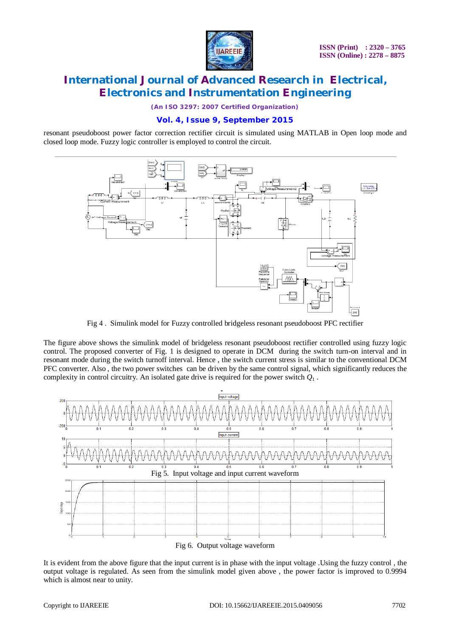

*(An ISO 3297: 2007 Certified Organization)*

### **Vol. 4, Issue 9, September 2015**

resonant pseudoboost power factor correction rectifier circuit is simulated using MATLAB in Open loop mode and closed loop mode. Fuzzy logic controller is employed to control the circuit.



Fig 4 . Simulink model for Fuzzy controlled bridgeless resonant pseudoboost PFC rectifier

The figure above shows the simulink model of bridgeless resonant pseudoboost rectifier controlled using fuzzy logic control. The proposed converter of Fig. 1 is designed to operate in DCM during the switch turn-on interval and in resonant mode during the switch turnoff interval. Hence , the switch current stress is similar to the conventional DCM PFC converter. Also , the two power switches can be driven by the same control signal, which significantly reduces the complexity in control circuitry. An isolated gate drive is required for the power switch  $Q_1$ .



Fig 6. Output voltage waveform

It is evident from the above figure that the input current is in phase with the input voltage .Using the fuzzy control , the output voltage is regulated. As seen from the simulink model given above , the power factor is improved to 0.9994 which is almost near to unity.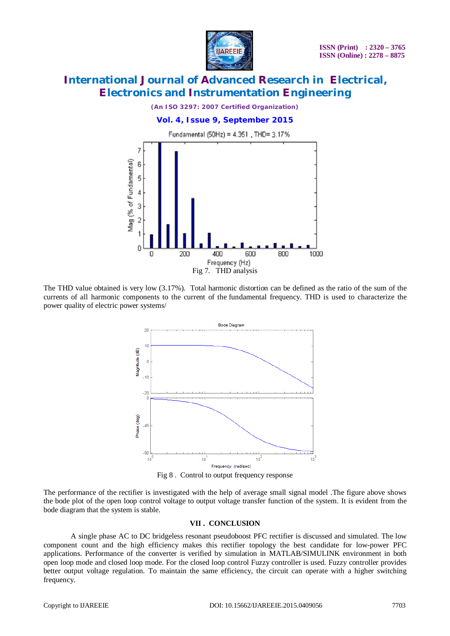

*(An ISO 3297: 2007 Certified Organization)* **Vol. 4, Issue 9, September 2015** Fundamental (50Hz) = 4.351, THD= 3.17%



The THD value obtained is very low (3.17%). Total harmonic distortion can be defined as the ratio of the sum of the currents of all harmonic components to the current of the fundamental frequency. THD is used to characterize the power quality of electric power systems/



Fig 8 . Control to output frequency response

The performance of the rectifier is investigated with the help of average small signal model .The figure above shows the bode plot of the open loop control voltage to output voltage transfer function of the system. It is evident from the bode diagram that the system is stable.

### **VII . CONCLUSION**

A single phase AC to DC bridgeless resonant pseudoboost PFC rectifier is discussed and simulated. The low component count and the high efficiency makes this rectifier topology the best candidate for low-power PFC applications. Performance of the converter is verified by simulation in MATLAB/SIMULINK environment in both open loop mode and closed loop mode. For the closed loop control Fuzzy controller is used. Fuzzy controller provides better output voltage regulation. To maintain the same efficiency, the circuit can operate with a higher switching frequency.